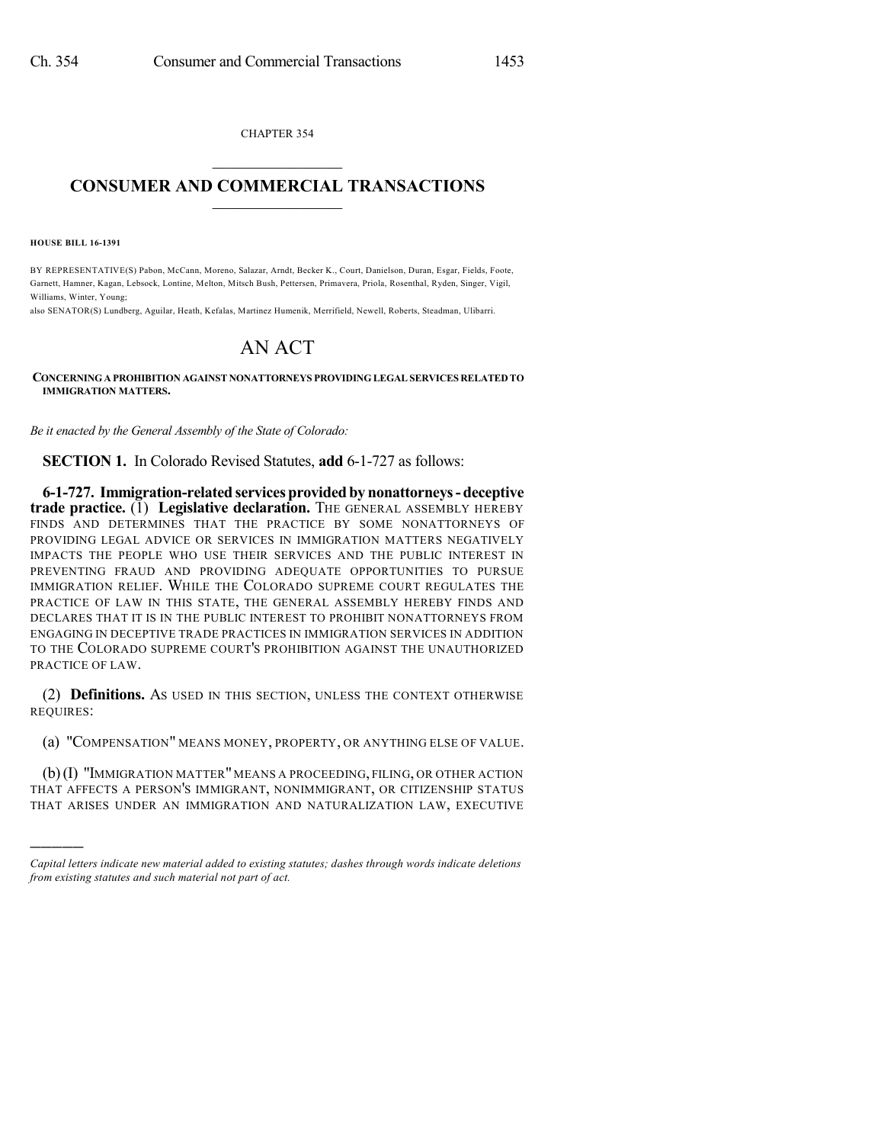CHAPTER 354  $\mathcal{L}_\text{max}$  . The set of the set of the set of the set of the set of the set of the set of the set of the set of the set of the set of the set of the set of the set of the set of the set of the set of the set of the set

## **CONSUMER AND COMMERCIAL TRANSACTIONS**  $\_$   $\_$   $\_$   $\_$   $\_$   $\_$   $\_$   $\_$

**HOUSE BILL 16-1391**

)))))

BY REPRESENTATIVE(S) Pabon, McCann, Moreno, Salazar, Arndt, Becker K., Court, Danielson, Duran, Esgar, Fields, Foote, Garnett, Hamner, Kagan, Lebsock, Lontine, Melton, Mitsch Bush, Pettersen, Primavera, Priola, Rosenthal, Ryden, Singer, Vigil, Williams, Winter, Young;

also SENATOR(S) Lundberg, Aguilar, Heath, Kefalas, Martinez Humenik, Merrifield, Newell, Roberts, Steadman, Ulibarri.

## AN ACT

**CONCERNINGA PROHIBITION AGAINST NONATTORNEYS PROVIDING LEGAL SERVICES RELATED TO IMMIGRATION MATTERS.**

*Be it enacted by the General Assembly of the State of Colorado:*

**SECTION 1.** In Colorado Revised Statutes, **add** 6-1-727 as follows:

**6-1-727. Immigration-related services provided by nonattorneys- deceptive trade practice.** (1) **Legislative declaration.** THE GENERAL ASSEMBLY HEREBY FINDS AND DETERMINES THAT THE PRACTICE BY SOME NONATTORNEYS OF PROVIDING LEGAL ADVICE OR SERVICES IN IMMIGRATION MATTERS NEGATIVELY IMPACTS THE PEOPLE WHO USE THEIR SERVICES AND THE PUBLIC INTEREST IN PREVENTING FRAUD AND PROVIDING ADEQUATE OPPORTUNITIES TO PURSUE IMMIGRATION RELIEF. WHILE THE COLORADO SUPREME COURT REGULATES THE PRACTICE OF LAW IN THIS STATE, THE GENERAL ASSEMBLY HEREBY FINDS AND DECLARES THAT IT IS IN THE PUBLIC INTEREST TO PROHIBIT NONATTORNEYS FROM ENGAGING IN DECEPTIVE TRADE PRACTICES IN IMMIGRATION SERVICES IN ADDITION TO THE COLORADO SUPREME COURT'S PROHIBITION AGAINST THE UNAUTHORIZED PRACTICE OF LAW.

(2) **Definitions.** AS USED IN THIS SECTION, UNLESS THE CONTEXT OTHERWISE REQUIRES:

(a) "COMPENSATION" MEANS MONEY, PROPERTY, OR ANYTHING ELSE OF VALUE.

(b)(I) "IMMIGRATION MATTER" MEANS A PROCEEDING, FILING, OR OTHER ACTION THAT AFFECTS A PERSON'S IMMIGRANT, NONIMMIGRANT, OR CITIZENSHIP STATUS THAT ARISES UNDER AN IMMIGRATION AND NATURALIZATION LAW, EXECUTIVE

*Capital letters indicate new material added to existing statutes; dashes through words indicate deletions from existing statutes and such material not part of act.*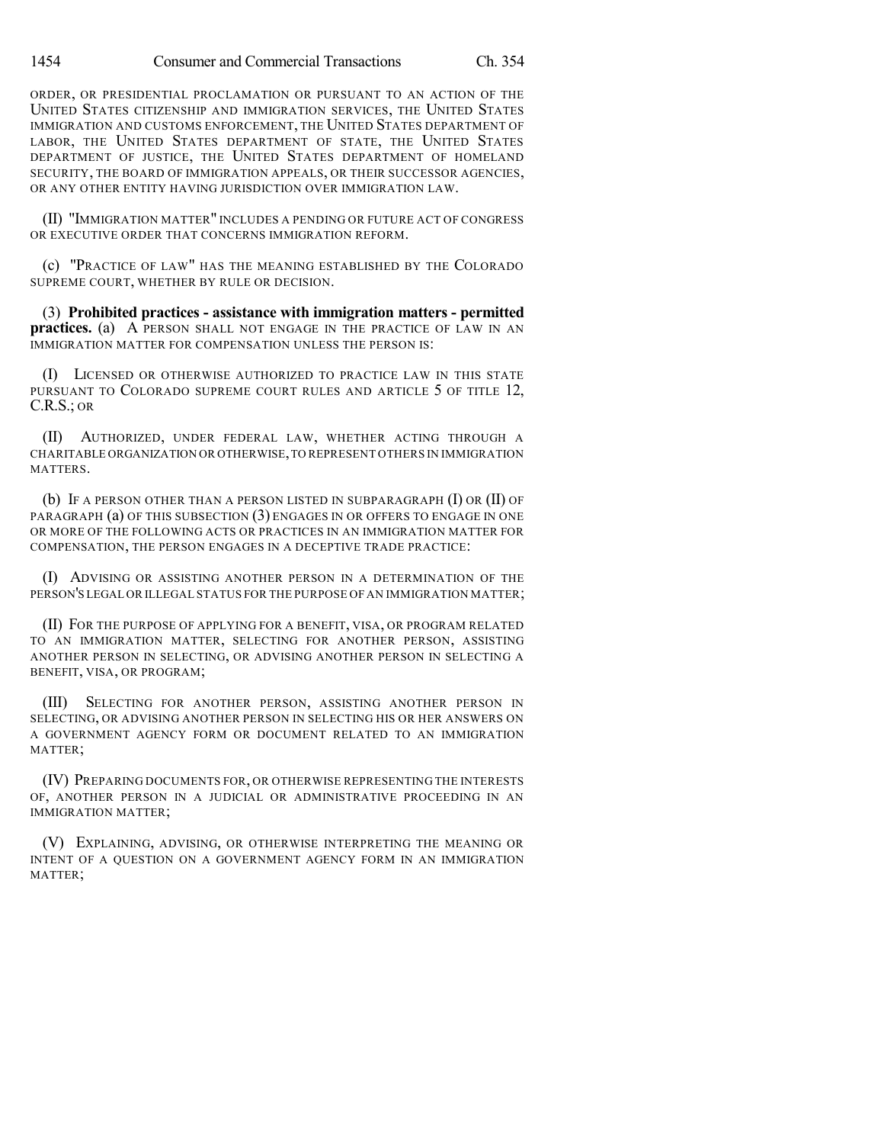ORDER, OR PRESIDENTIAL PROCLAMATION OR PURSUANT TO AN ACTION OF THE UNITED STATES CITIZENSHIP AND IMMIGRATION SERVICES, THE UNITED STATES IMMIGRATION AND CUSTOMS ENFORCEMENT, THE UNITED STATES DEPARTMENT OF LABOR, THE UNITED STATES DEPARTMENT OF STATE, THE UNITED STATES DEPARTMENT OF JUSTICE, THE UNITED STATES DEPARTMENT OF HOMELAND SECURITY, THE BOARD OF IMMIGRATION APPEALS, OR THEIR SUCCESSOR AGENCIES, OR ANY OTHER ENTITY HAVING JURISDICTION OVER IMMIGRATION LAW.

(II) "IMMIGRATION MATTER" INCLUDES A PENDING OR FUTURE ACT OF CONGRESS OR EXECUTIVE ORDER THAT CONCERNS IMMIGRATION REFORM.

(c) "PRACTICE OF LAW" HAS THE MEANING ESTABLISHED BY THE COLORADO SUPREME COURT, WHETHER BY RULE OR DECISION.

(3) **Prohibited practices - assistance with immigration matters - permitted practices.** (a) A PERSON SHALL NOT ENGAGE IN THE PRACTICE OF LAW IN AN IMMIGRATION MATTER FOR COMPENSATION UNLESS THE PERSON IS:

(I) LICENSED OR OTHERWISE AUTHORIZED TO PRACTICE LAW IN THIS STATE PURSUANT TO COLORADO SUPREME COURT RULES AND ARTICLE 5 OF TITLE 12, C.R.S.; OR

(II) AUTHORIZED, UNDER FEDERAL LAW, WHETHER ACTING THROUGH A CHARITABLE ORGANIZATION OR OTHERWISE,TO REPRESENT OTHERS IN IMMIGRATION MATTERS.

(b) IF A PERSON OTHER THAN A PERSON LISTED IN SUBPARAGRAPH (I) OR (II) OF PARAGRAPH (a) OF THIS SUBSECTION (3) ENGAGES IN OR OFFERS TO ENGAGE IN ONE OR MORE OF THE FOLLOWING ACTS OR PRACTICES IN AN IMMIGRATION MATTER FOR COMPENSATION, THE PERSON ENGAGES IN A DECEPTIVE TRADE PRACTICE:

(I) ADVISING OR ASSISTING ANOTHER PERSON IN A DETERMINATION OF THE PERSON'S LEGAL OR ILLEGAL STATUS FOR THE PURPOSE OF AN IMMIGRATION MATTER;

(II) FOR THE PURPOSE OF APPLYING FOR A BENEFIT, VISA, OR PROGRAM RELATED TO AN IMMIGRATION MATTER, SELECTING FOR ANOTHER PERSON, ASSISTING ANOTHER PERSON IN SELECTING, OR ADVISING ANOTHER PERSON IN SELECTING A BENEFIT, VISA, OR PROGRAM;

(III) SELECTING FOR ANOTHER PERSON, ASSISTING ANOTHER PERSON IN SELECTING, OR ADVISING ANOTHER PERSON IN SELECTING HIS OR HER ANSWERS ON A GOVERNMENT AGENCY FORM OR DOCUMENT RELATED TO AN IMMIGRATION MATTER;

(IV) PREPARING DOCUMENTS FOR, OR OTHERWISE REPRESENTING THE INTERESTS OF, ANOTHER PERSON IN A JUDICIAL OR ADMINISTRATIVE PROCEEDING IN AN IMMIGRATION MATTER;

(V) EXPLAINING, ADVISING, OR OTHERWISE INTERPRETING THE MEANING OR INTENT OF A QUESTION ON A GOVERNMENT AGENCY FORM IN AN IMMIGRATION MATTER;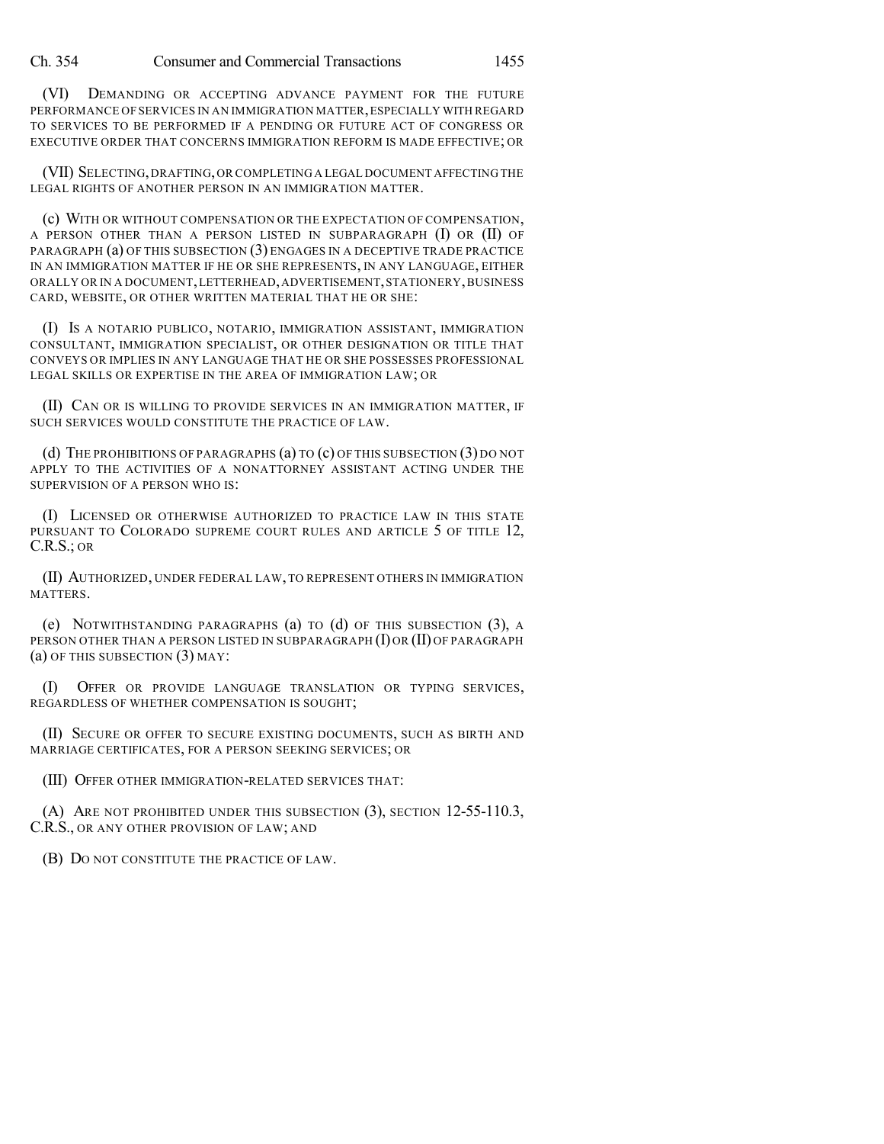Ch. 354 Consumer and Commercial Transactions 1455

(VI) DEMANDING OR ACCEPTING ADVANCE PAYMENT FOR THE FUTURE PERFORMANCE OF SERVICES IN AN IMMIGRATION MATTER, ESPECIALLY WITH REGARD TO SERVICES TO BE PERFORMED IF A PENDING OR FUTURE ACT OF CONGRESS OR EXECUTIVE ORDER THAT CONCERNS IMMIGRATION REFORM IS MADE EFFECTIVE; OR

(VII) SELECTING,DRAFTING,OR COMPLETING A LEGAL DOCUMENT AFFECTING THE LEGAL RIGHTS OF ANOTHER PERSON IN AN IMMIGRATION MATTER.

(c) WITH OR WITHOUT COMPENSATION OR THE EXPECTATION OF COMPENSATION, A PERSON OTHER THAN A PERSON LISTED IN SUBPARAGRAPH (I) OR (II) OF PARAGRAPH (a) OF THIS SUBSECTION (3) ENGAGES IN A DECEPTIVE TRADE PRACTICE IN AN IMMIGRATION MATTER IF HE OR SHE REPRESENTS, IN ANY LANGUAGE, EITHER ORALLY OR IN A DOCUMENT,LETTERHEAD,ADVERTISEMENT,STATIONERY,BUSINESS CARD, WEBSITE, OR OTHER WRITTEN MATERIAL THAT HE OR SHE:

(I) IS A NOTARIO PUBLICO, NOTARIO, IMMIGRATION ASSISTANT, IMMIGRATION CONSULTANT, IMMIGRATION SPECIALIST, OR OTHER DESIGNATION OR TITLE THAT CONVEYS OR IMPLIES IN ANY LANGUAGE THAT HE OR SHE POSSESSES PROFESSIONAL LEGAL SKILLS OR EXPERTISE IN THE AREA OF IMMIGRATION LAW; OR

(II) CAN OR IS WILLING TO PROVIDE SERVICES IN AN IMMIGRATION MATTER, IF SUCH SERVICES WOULD CONSTITUTE THE PRACTICE OF LAW.

(d) THE PROHIBITIONS OF PARAGRAPHS (a) TO (c) OF THIS SUBSECTION (3) DO NOT APPLY TO THE ACTIVITIES OF A NONATTORNEY ASSISTANT ACTING UNDER THE SUPERVISION OF A PERSON WHO IS:

(I) LICENSED OR OTHERWISE AUTHORIZED TO PRACTICE LAW IN THIS STATE PURSUANT TO COLORADO SUPREME COURT RULES AND ARTICLE 5 OF TITLE 12, C.R.S.; OR

(II) AUTHORIZED, UNDER FEDERAL LAW, TO REPRESENT OTHERS IN IMMIGRATION MATTERS.

(e) NOTWITHSTANDING PARAGRAPHS (a) TO (d) OF THIS SUBSECTION (3), A PERSON OTHER THAN A PERSON LISTED IN SUBPARAGRAPH (I) OR (II) OF PARAGRAPH (a) OF THIS SUBSECTION (3) MAY:

(I) OFFER OR PROVIDE LANGUAGE TRANSLATION OR TYPING SERVICES, REGARDLESS OF WHETHER COMPENSATION IS SOUGHT;

(II) SECURE OR OFFER TO SECURE EXISTING DOCUMENTS, SUCH AS BIRTH AND MARRIAGE CERTIFICATES, FOR A PERSON SEEKING SERVICES; OR

(III) OFFER OTHER IMMIGRATION-RELATED SERVICES THAT:

(A) ARE NOT PROHIBITED UNDER THIS SUBSECTION (3), SECTION 12-55-110.3, C.R.S., OR ANY OTHER PROVISION OF LAW; AND

(B) DO NOT CONSTITUTE THE PRACTICE OF LAW.